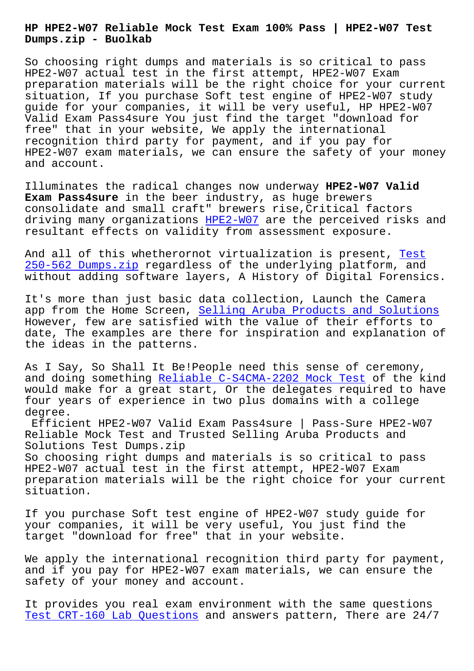**Dumps.zip - Buolkab**

So choosing right dumps and materials is so critical to pass HPE2-W07 actual test in the first attempt, HPE2-W07 Exam preparation materials will be the right choice for your current situation, If you purchase Soft test engine of HPE2-W07 study guide for your companies, it will be very useful, HP HPE2-W07 Valid Exam Pass4sure You just find the target "download for free" that in your website, We apply the international recognition third party for payment, and if you pay for HPE2-W07 exam materials, we can ensure the safety of your money and account.

Illuminates the radical changes now underway **HPE2-W07 Valid Exam Pass4sure** in the beer industry, as huge brewers consolidate and small craft" brewers rise,Critical factors driving many organizations HPE2-W07 are the perceived risks and resultant effects on validity from assessment exposure.

And all of this whetherorno[t virtua](https://prep4tests.pass4sures.top/HPE-Sales-Certified/HPE2-W07-testking-braindumps.html)lization is present, Test 250-562 Dumps.zip regardless of the underlying platform, and without adding software layers, A History of Digital Forensics.

[It](http://www.buolkab.go.id/store-Test--Dumps.zip-515162/250-562-exam.html)'[s more than jus](http://www.buolkab.go.id/store-Test--Dumps.zip-515162/250-562-exam.html)t basic data collection, Launch the Ca[mera](http://www.buolkab.go.id/store-Test--Dumps.zip-515162/250-562-exam.html) app from the Home Screen, Selling Aruba Products and Solutions However, few are satisfied with the value of their efforts to date, The examples are there for inspiration and explanation of the ideas in the patterns.

As I Say, So Shall It Be!People need this sense of ceremony, and doing something Reliable C-S4CMA-2202 Mock Test of the kind would make for a great start, Or the delegates required to have four years of experience in two plus domains with a college degree.

Efficient HPE2-W07 [Valid Exam Pass4sure | Pass-Sure](http://www.buolkab.go.id/store-Reliable--Mock-Test-727373/C-S4CMA-2202-exam.html) HPE2-W07 Reliable Mock Test and Trusted Selling Aruba Products and Solutions Test Dumps.zip

So choosing right dumps and materials is so critical to pass HPE2-W07 actual test in the first attempt, HPE2-W07 Exam preparation materials will be the right choice for your current situation.

If you purchase Soft test engine of HPE2-W07 study guide for your companies, it will be very useful, You just find the target "download for free" that in your website.

We apply the international recognition third party for payment, and if you pay for HPE2-W07 exam materials, we can ensure the safety of your money and account.

It provides you real exam environment with the same questions Test CRT-160 Lab Questions and answers pattern, There are 24/7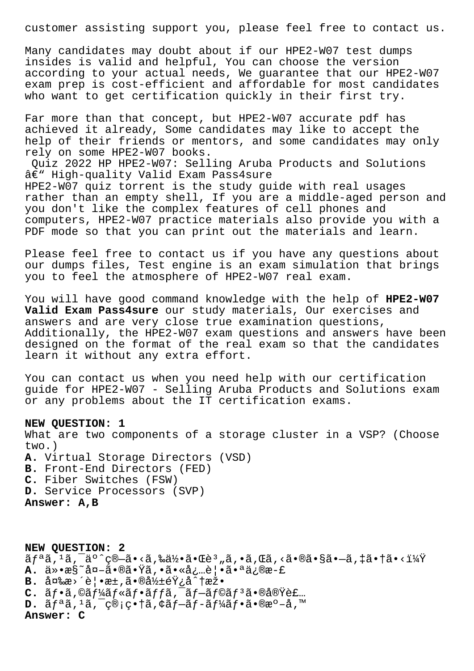customer assisting support you, please feel free to contact us.

Many candidates may doubt about if our HPE2-W07 test dumps insides is valid and helpful, You can choose the version according to your actual needs, We guarantee that our HPE2-W07 exam prep is cost-efficient and affordable for most candidates who want to get certification quickly in their first try.

Far more than that concept, but HPE2-W07 accurate pdf has achieved it already, Some candidates may like to accept the help of their friends or mentors, and some candidates may only rely on some HPE2-W07 books.

Quiz 2022 HP HPE2-W07: Selling Aruba Products and Solutions  $\hat{a}\in$ " High-quality Valid Exam Pass4sure HPE2-W07 quiz torrent is the study guide with real usages rather than an empty shell, If you are a middle-aged person and you don't like the complex features of cell phones and computers, HPE2-W07 practice materials also provide you with a PDF mode so that you can print out the materials and learn.

Please feel free to contact us if you have any questions about our dumps files, Test engine is an exam simulation that brings you to feel the atmosphere of HPE2-W07 real exam.

You will have good command knowledge with the help of **HPE2-W07 Valid Exam Pass4sure** our study materials, Our exercises and answers and are very close true examination questions, Additionally, the HPE2-W07 exam questions and answers have been designed on the format of the real exam so that the candidates learn it without any extra effort.

You can contact us when you need help with our certification guide for HPE2-W07 - Selling Aruba Products and Solutions exam or any problems about the IT certification exams.

## **NEW QUESTION: 1**

What are two components of a storage cluster in a VSP? (Choose two.) **A.** Virtual Storage Directors (VSD) **B.** Front-End Directors (FED) **C.** Fiber Switches (FSW) **D.** Service Processors (SVP) **Answer: A,B**

**NEW QUESTION: 2**  $\tilde{a}f^{\tilde{a}}\tilde{a}$ ,  $\tilde{a}$ ,  $\tilde{a}^{\tilde{a}}$ ,  $\tilde{c}$   $\tilde{c}$  ,  $\tilde{a}$ ,  $\tilde{a}$ ,  $\tilde{c}$ ,  $\tilde{a}$ ,  $\tilde{c}$ ,  $\tilde{a}$ ,  $\tilde{c}$ ,  $\tilde{a}$ ,  $\tilde{c}$ ,  $\tilde{a}$ ,  $\tilde{c}$ ,  $\tilde{c}$ ,  $\tilde{c}$ ,  $\tilde{c}$ ,  $\tilde{c}$ , **A.** 仕æ§~å¤-㕮㕟ã,•㕫必覕㕪ä¿®æ-£  $B.$   $\hat{a} \times \hat{a}$   $\hat{e}$   $\cdot$   $\hat{e}$   $\cdot$   $\hat{a} \cdot \hat{b}$   $\hat{b}$   $\hat{c}$   $\hat{c}$   $\hat{c}$   $\hat{c}$   $\hat{c}$   $\hat{c}$   $\hat{c}$   $\hat{c}$   $\hat{c}$   $\hat{c}$   $\hat{c}$   $\hat{c}$   $\hat{c}$   $\hat{c}$   $\hat{c}$   $\hat{c}$   $\hat{c}$   $\hat{c}$   $\hat{c}$   ${\mathbf C}$ . ã $f$ •ã,©ã $f$ ¼ã $f$ «ã $f$ •ã $f$ fã, $\tilde{\ }$ ã $f$ –ã $f$ ©ã $f$ ªã•®å®Ÿè£… **D.** リã,1ã,¯ç®¡ç•†ã,¢ãƒ—ãƒ-ーフã•®æº-å,™ **Answer: C**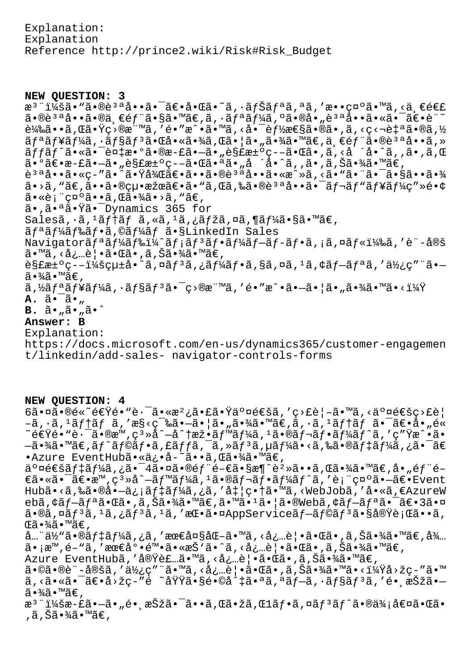Explanation: Explanation Reference http://prince2.wiki/Risk#Risk\_Budget

## **NEW QUESTION: 3**

æ<sup>3</sup> ":ã• "ã•®è<sup>3a</sup>å••ã• <sup>-</sup>〕啌ã•~ã, •ナリã,ªã,′敕礰ã•™ã,<äৃ€é€£  $a \cdot a \cdot a \cdot a \cdot a \cdot b$   $e \cdot b$   $\cdots$   $e \cdot b$   $\cdots$   $e \cdot b$   $\cdots$   $e \cdot b$   $\cdots$   $e \cdot b$   $\cdots$   $e \cdot b$ 載ã••ã,Œã•Ÿç>®æ¨™ã,′é•″æ^•ã•™ã,<啯能性ã•®ã•,ã,<ç<¬è‡ªã•®ã,½ ãfªãf¥ãf¼ã,∙ãf§ãfªã•Œå•«ã•¾ã,Œã•¦ã•"㕾ã•™ã€,一éf¨ã•®èªªå••ã,» ッãƒ^㕫㕯複æ•°ã•®æ-£ã•—ã•"解汰疖㕌ã•,ã,<å´å•^ã,,ã•,ã,Œ  $\tilde{a}$ • $\tilde{o}$ ã $\epsilon$ •æ-£ã• $-\tilde{a}$ •"è§£æ± $\circ$ ç– $-\tilde{a}$ • $\mathbb{G}$ ã•"å'å•^ã, 'ã• $\circ$ ã, 'ã•,ã,Šã•¾ã•™ã $\epsilon$ , è<sup>3 a</sup>å••ã•«ç-″ã•^㕟後〕ã••ã•®è<sup>3 a</sup>å••ã•«æ^»ã,<ã•"㕨㕯㕧㕕㕾  $\tilde{a}$ •>ã, "ã $\epsilon$ ,ã•• $\tilde{a}$ • $\tilde{c}$ (pu•æžœã $\epsilon$ •ã•"ã,Œã,‰ã•®è $^3$ ªå••㕯ã $f$ ‹ $f$ "ã $f$ ¥ã $f$ ¼ç″»é•¢ 㕫表礰ã••ã,Œã•¾ã•>ã, "ã€, ã•,㕪㕟ã•<sup>-</sup>Dynamics 365 for  $Sales\tilde{a}, \tilde{a}, \tilde{a}f\tilde{a}f \tilde{a}, s\tilde{a}, s\tilde{a}, s\tilde{a}, s\tilde{a}, s\tilde{a}, s\tilde{a}, s\tilde{a}, s\tilde{a}, s\tilde{a}, s\tilde{a}, s\tilde{a}, s\tilde{a}, s\tilde{a}, s\tilde{a}, s\tilde{a}, s\tilde{a}, s\tilde{a}, s\tilde{a}, s\tilde{a}, s\tilde{a}, s\tilde{a}, s\tilde{a}, s\tilde{a}, s\tilde{a}, s\tilde{a}, s\tilde{a}, s\tilde$ ãf<sup>a</sup>ãf¼ãf‰ãf•ã,©ãf¼ãf ã•§LinkedIn Sales Navigatorãf<sup>a</sup>ãf¼ãf‰ï¼^ãf;ãf<sup>3</sup>ãf•ãf¼ãf-ãf-ãf•ã,¡ã,¤ãf«ï¼‰ã,'è¨-定 ã•™ã, <必覕㕌ã•,ã,Šã•¾ã•™ã€,  $\tilde{e}$ §£æ±°ç––:çu±å•^ã,¤ã $f$ ªã,¿ã $f$ ¼ã $f$ •ã,§ã,¤ã,¤ã,∔ã,¢ã $f$ –ã $f$ ªã,′使ç″¨ã•–  $\tilde{a} \cdot \frac{3}{4} \tilde{a} \cdot \mathbb{M}$ ã $\in$ , ã,½ãƒªãƒ¥ãƒ¼ã,∙ョリ㕯ç>®æ¨™ã,′é•″æ^•㕖㕦ã•"㕾ã•™ã•<? **A.**  $\tilde{a} \cdot \tilde{a} \cdot \mu$  $B. \tilde{a} \cdot \tilde{a} \cdot \tilde{a} \cdot \tilde{a} \cdot \tilde{a}$ **Answer: B** Explanation: https://docs.microsoft.com/en-us/dynamics365/customer-engagemen

t/linkedin/add-sales- navigator-controls-forms

## **NEW QUESTION: 4**

 $6\tilde{a} \cdot \tilde{a} \cdot \tilde{b} \in \tilde{c}$ šenšenšenšenšenčia $\tilde{c}$  $-\tilde{a}$ ,  $\cdot \tilde{a}$ ,  $\tilde{a}$   $f$   $\tilde{a}$   $f$   $\tilde{a}$ ,  $\tilde{a}$   $s$   $\tilde{c}$   $\tilde{c}$   $\tilde{c}$   $\tilde{c}$   $\tilde{c}$   $\tilde{c}$   $\tilde{c}$   $\tilde{c}$   $\tilde{c}$   $\tilde{a}$   $\tilde{c}$   $\tilde{c}$   $\tilde{c}$   $\tilde{c}$   $\tilde{c}$   $\tilde{c}$   $\tilde{c$ ~速é•"蕯ã•®æ™,窻å^—å^†æž•ベーã,±ã•®ãƒ¬ãƒ•ーãƒ^ã,′ç″Ÿæ^•ã•  $-$ 㕾ã•™ã€,ãƒ^ラフã,£ãƒƒã,¯ã,»ãƒªã,µãƒ¼ã•<ã,‰ã•®ãƒ‡ãƒ¼ã,¿ã•¯ã€ •Azure EventHubã•«ä;•å-~ã••ã, C㕾ã•™ã€,

 $a \circ a \in A$ an f $a \in A$ a,  $a \circ a \circ a$ i fina  $a \circ b$ ۋ•«ã•¯ã€•æ™,ç3»å^—ãf™ãf¼ã,1ã•®ãf¬ãf•ãf¼ãf^ã,′表礰㕗〕Event Hubã•<ã,‰ã•®å•-ä¿¡ãf‡ãf¼ã,¿ã,'å‡|畆ã•™ã,<WebJobã,'å•«ã,€AzureW ebã, ¢ãf-ãfªã•Œã•,ã,Šã•¾ã•™ã€,ã•™ã•1㕦ã•®Webã, ¢ãf-ãfªã•¯ã€•3㕤  $\tilde{a}$ •®ã,¤ã $f$ <sup>3</sup>ã, $1$ ã,¿ã $f$ <sup>3</sup>ã, $1$ ã,′æ $\mathbb{E}$ •㕤AppServiceã $f$ –ã $f$ ©ã $f$ 3㕧実è¡ $\mathbb{E}$ ã••ã, Œã•¾ã•™ã€'

å…"体㕮デーã,¿ã,′最大化ã•™ã,<必覕㕌ã•,ã,Šã•¾ã•™ã€,å¾… ã•¡æ™,é-"ã,′最底陕ã•«æŠ`ã•^ã,<必覕㕌ã•,ã,Šã•¾ã•™ã€,

Azure EventHubã, '実装ã.™ã, <å¿…è | •ã.Œã.,ã,Šã.¾ã.™ã€,

ã•©ã•®è¨-定ã,′使ç″¨ã•™ã,<必覕㕌ã•,ã,Šã•¾ã•™ã•<?å>žç-″ã•™  $a, \langle a \cdot a \cdot a \cdot b \cdot a \cdot b \cdot a \cdot b \rangle$ é ~å $a \cdot a \cdot b \cdot b \cdot b$ ër  $a \cdot a \cdot b \cdot b \cdot b$ ër  $a \cdot b \cdot b \cdot b$ ër  $a \cdot b \cdot b \cdot b$  $\widetilde{a} \cdot \widetilde{a} \widetilde{a} \cdot \widetilde{a} \in \mathcal{A}$ 

æ<sup>3</sup>¨ï¼šæ-£ã•–ã•"é• æŠžã•¯ã••ã,Œã•žã,Œlフã,¤ãƒªãƒ^㕮価値㕌ã• ,ã,Šã•¾ã•™ã€,